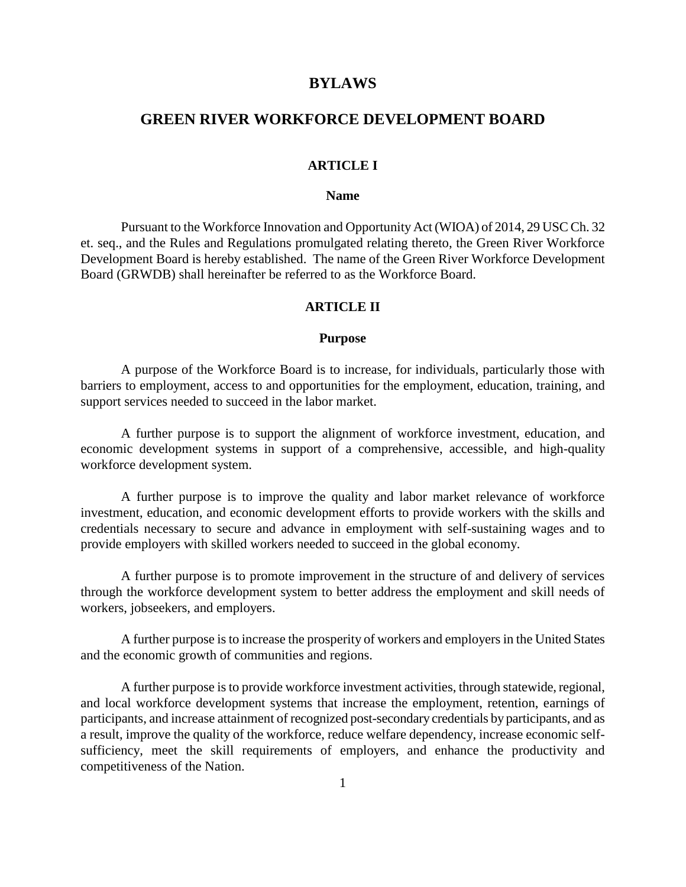## **BYLAWS**

# **GREEN RIVER WORKFORCE DEVELOPMENT BOARD**

## **ARTICLE I**

#### **Name**

Pursuant to the Workforce Innovation and Opportunity Act (WIOA) of 2014, 29 USC Ch. 32 et. seq., and the Rules and Regulations promulgated relating thereto, the Green River Workforce Development Board is hereby established. The name of the Green River Workforce Development Board (GRWDB) shall hereinafter be referred to as the Workforce Board.

#### **ARTICLE II**

#### **Purpose**

A purpose of the Workforce Board is to increase, for individuals, particularly those with barriers to employment, access to and opportunities for the employment, education, training, and support services needed to succeed in the labor market.

A further purpose is to support the alignment of workforce investment, education, and economic development systems in support of a comprehensive, accessible, and high-quality workforce development system.

A further purpose is to improve the quality and labor market relevance of workforce investment, education, and economic development efforts to provide workers with the skills and credentials necessary to secure and advance in employment with self-sustaining wages and to provide employers with skilled workers needed to succeed in the global economy.

A further purpose is to promote improvement in the structure of and delivery of services through the workforce development system to better address the employment and skill needs of workers, jobseekers, and employers.

A further purpose is to increase the prosperity of workers and employers in the United States and the economic growth of communities and regions.

A further purpose is to provide workforce investment activities, through statewide, regional, and local workforce development systems that increase the employment, retention, earnings of participants, and increase attainment of recognized post-secondary credentials by participants, and as a result, improve the quality of the workforce, reduce welfare dependency, increase economic selfsufficiency, meet the skill requirements of employers, and enhance the productivity and competitiveness of the Nation.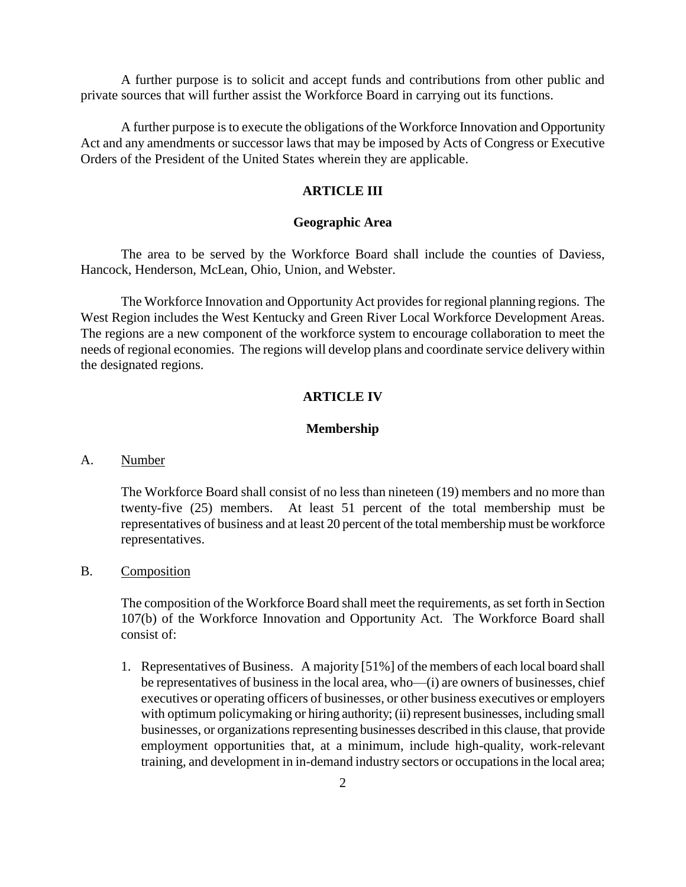A further purpose is to solicit and accept funds and contributions from other public and private sources that will further assist the Workforce Board in carrying out its functions.

A further purpose is to execute the obligations of the Workforce Innovation and Opportunity Act and any amendments or successor laws that may be imposed by Acts of Congress or Executive Orders of the President of the United States wherein they are applicable.

## **ARTICLE III**

### **Geographic Area**

The area to be served by the Workforce Board shall include the counties of Daviess, Hancock, Henderson, McLean, Ohio, Union, and Webster.

The Workforce Innovation and Opportunity Act provides for regional planning regions. The West Region includes the West Kentucky and Green River Local Workforce Development Areas. The regions are a new component of the workforce system to encourage collaboration to meet the needs of regional economies. The regions will develop plans and coordinate service delivery within the designated regions.

## **ARTICLE IV**

#### **Membership**

## A. Number

The Workforce Board shall consist of no less than nineteen (19) members and no more than twenty-five (25) members. At least 51 percent of the total membership must be representatives of business and at least 20 percent of the total membership must be workforce representatives.

## B. Composition

The composition of the Workforce Board shall meet the requirements, as set forth in Section 107(b) of the Workforce Innovation and Opportunity Act. The Workforce Board shall consist of:

1. Representatives of Business. A majority [51%] of the members of each local board shall be representatives of business in the local area, who—(i) are owners of businesses, chief executives or operating officers of businesses, or other business executives or employers with optimum policymaking or hiring authority; (ii) represent businesses, including small businesses, or organizations representing businesses described in this clause, that provide employment opportunities that, at a minimum, include high-quality, work-relevant training, and development in in-demand industry sectors or occupations in the local area;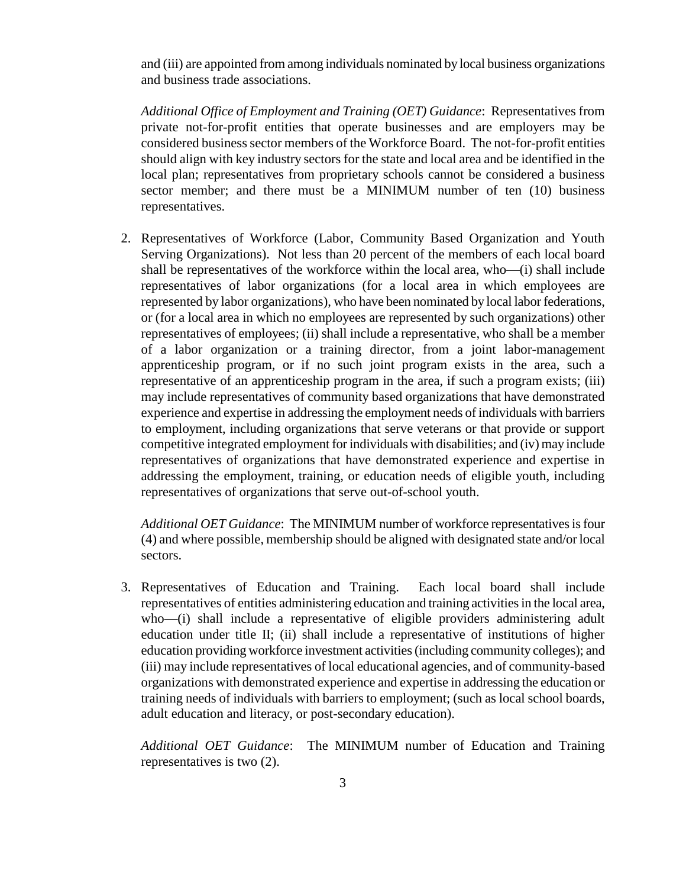and (iii) are appointed from among individuals nominated by local business organizations and business trade associations.

*Additional Office of Employment and Training (OET) Guidance*: Representatives from private not-for-profit entities that operate businesses and are employers may be considered business sector members of the Workforce Board. The not-for-profit entities should align with key industry sectors for the state and local area and be identified in the local plan; representatives from proprietary schools cannot be considered a business sector member; and there must be a MINIMUM number of ten (10) business representatives.

2. Representatives of Workforce (Labor, Community Based Organization and Youth Serving Organizations). Not less than 20 percent of the members of each local board shall be representatives of the workforce within the local area, who—(i) shall include representatives of labor organizations (for a local area in which employees are represented by labor organizations), who have been nominated by local labor federations, or (for a local area in which no employees are represented by such organizations) other representatives of employees; (ii) shall include a representative, who shall be a member of a labor organization or a training director, from a joint labor-management apprenticeship program, or if no such joint program exists in the area, such a representative of an apprenticeship program in the area, if such a program exists; (iii) may include representatives of community based organizations that have demonstrated experience and expertise in addressing the employment needs of individuals with barriers to employment, including organizations that serve veterans or that provide or support competitive integrated employment for individuals with disabilities; and (iv) may include representatives of organizations that have demonstrated experience and expertise in addressing the employment, training, or education needs of eligible youth, including representatives of organizations that serve out-of-school youth.

*Additional OET Guidance*: The MINIMUM number of workforce representatives is four (4) and where possible, membership should be aligned with designated state and/or local sectors.

3. Representatives of Education and Training. Each local board shall include representatives of entities administering education and training activities in the local area, who—(i) shall include a representative of eligible providers administering adult education under title II; (ii) shall include a representative of institutions of higher education providing workforce investment activities (including community colleges); and (iii) may include representatives of local educational agencies, and of community-based organizations with demonstrated experience and expertise in addressing the education or training needs of individuals with barriers to employment; (such as local school boards, adult education and literacy, or post-secondary education).

*Additional OET Guidance*: The MINIMUM number of Education and Training representatives is two (2).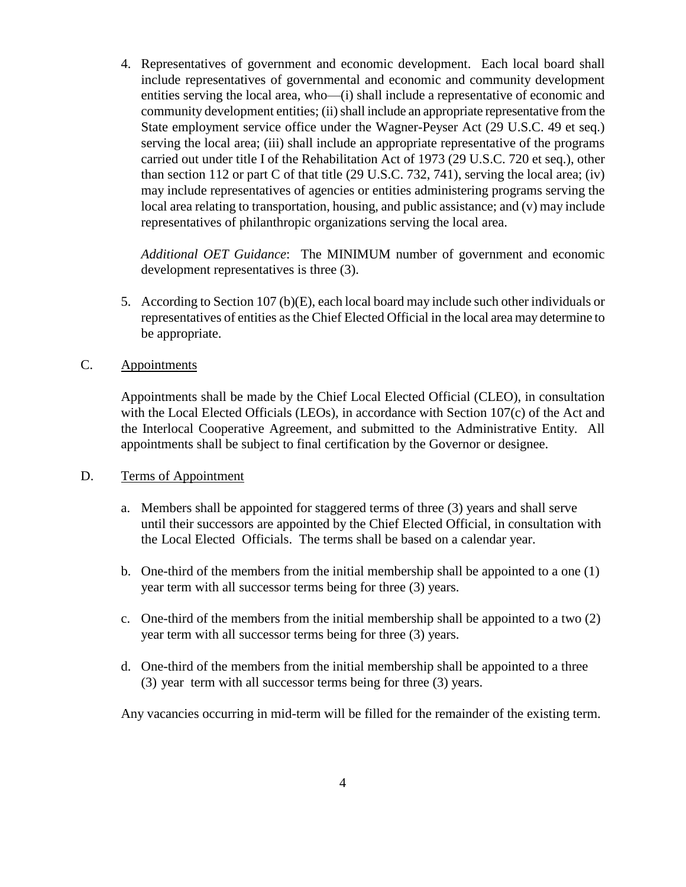4. Representatives of government and economic development. Each local board shall include representatives of governmental and economic and community development entities serving the local area, who—(i) shall include a representative of economic and community development entities; (ii) shall include an appropriate representative from the State employment service office under the Wagner-Peyser Act (29 U.S.C. 49 et seq.) serving the local area; (iii) shall include an appropriate representative of the programs carried out under title I of the Rehabilitation Act of 1973 (29 U.S.C. 720 et seq.), other than section 112 or part C of that title (29 U.S.C. 732, 741), serving the local area; (iv) may include representatives of agencies or entities administering programs serving the local area relating to transportation, housing, and public assistance; and (v) may include representatives of philanthropic organizations serving the local area.

*Additional OET Guidance*: The MINIMUM number of government and economic development representatives is three (3).

5. According to Section 107 (b)(E), each local board may include such other individuals or representatives of entities as the Chief Elected Official in the local area may determine to be appropriate.

# C. Appointments

Appointments shall be made by the Chief Local Elected Official (CLEO), in consultation with the Local Elected Officials (LEOs), in accordance with Section 107(c) of the Act and the Interlocal Cooperative Agreement, and submitted to the Administrative Entity. All appointments shall be subject to final certification by the Governor or designee.

# D. Terms of Appointment

- a. Members shall be appointed for staggered terms of three (3) years and shall serve until their successors are appointed by the Chief Elected Official, in consultation with the Local Elected Officials. The terms shall be based on a calendar year.
- b. One-third of the members from the initial membership shall be appointed to a one (1) year term with all successor terms being for three (3) years.
- c. One-third of the members from the initial membership shall be appointed to a two (2) year term with all successor terms being for three (3) years.
- d. One-third of the members from the initial membership shall be appointed to a three (3) year term with all successor terms being for three (3) years.

Any vacancies occurring in mid-term will be filled for the remainder of the existing term.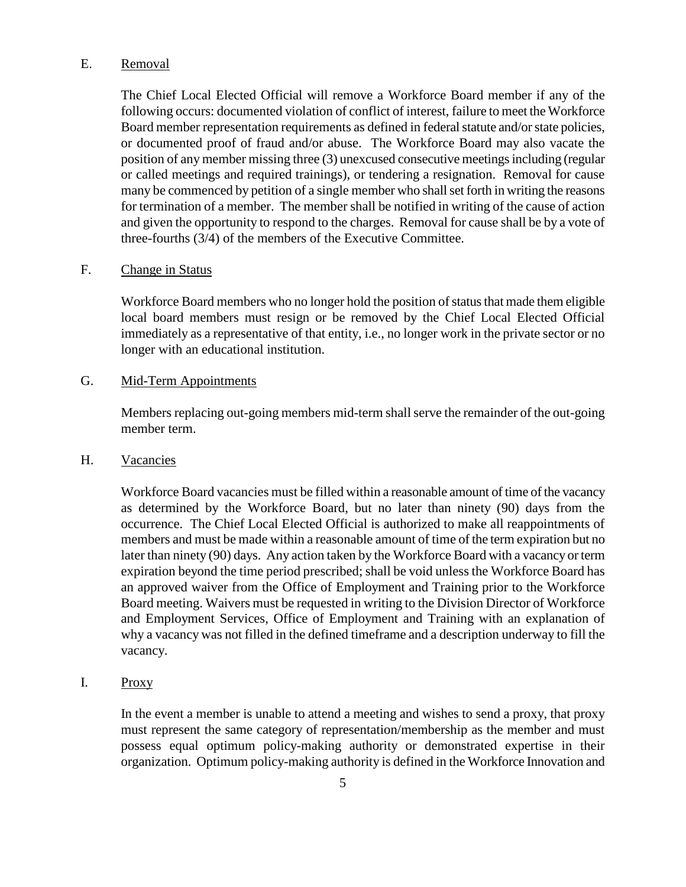# E. Removal

The Chief Local Elected Official will remove a Workforce Board member if any of the following occurs: documented violation of conflict of interest, failure to meet the Workforce Board member representation requirements as defined in federal statute and/or state policies, or documented proof of fraud and/or abuse. The Workforce Board may also vacate the position of any member missing three (3) unexcused consecutive meetings including (regular or called meetings and required trainings), or tendering a resignation. Removal for cause many be commenced by petition of a single member who shall set forth in writing the reasons for termination of a member. The member shall be notified in writing of the cause of action and given the opportunity to respond to the charges. Removal for cause shall be by a vote of three-fourths (3/4) of the members of the Executive Committee.

## F. Change in Status

Workforce Board members who no longer hold the position of status that made them eligible local board members must resign or be removed by the Chief Local Elected Official immediately as a representative of that entity, i.e., no longer work in the private sector or no longer with an educational institution.

## G. Mid-Term Appointments

Members replacing out-going members mid-term shall serve the remainder of the out-going member term.

## H. Vacancies

Workforce Board vacancies must be filled within a reasonable amount of time of the vacancy as determined by the Workforce Board, but no later than ninety (90) days from the occurrence. The Chief Local Elected Official is authorized to make all reappointments of members and must be made within a reasonable amount of time of the term expiration but no later than ninety (90) days. Any action taken by the Workforce Board with a vacancy or term expiration beyond the time period prescribed; shall be void unless the Workforce Board has an approved waiver from the Office of Employment and Training prior to the Workforce Board meeting. Waivers must be requested in writing to the Division Director of Workforce and Employment Services, Office of Employment and Training with an explanation of why a vacancy was not filled in the defined timeframe and a description underway to fill the vacancy.

## I. Proxy

In the event a member is unable to attend a meeting and wishes to send a proxy, that proxy must represent the same category of representation/membership as the member and must possess equal optimum policy-making authority or demonstrated expertise in their organization. Optimum policy-making authority is defined in the Workforce Innovation and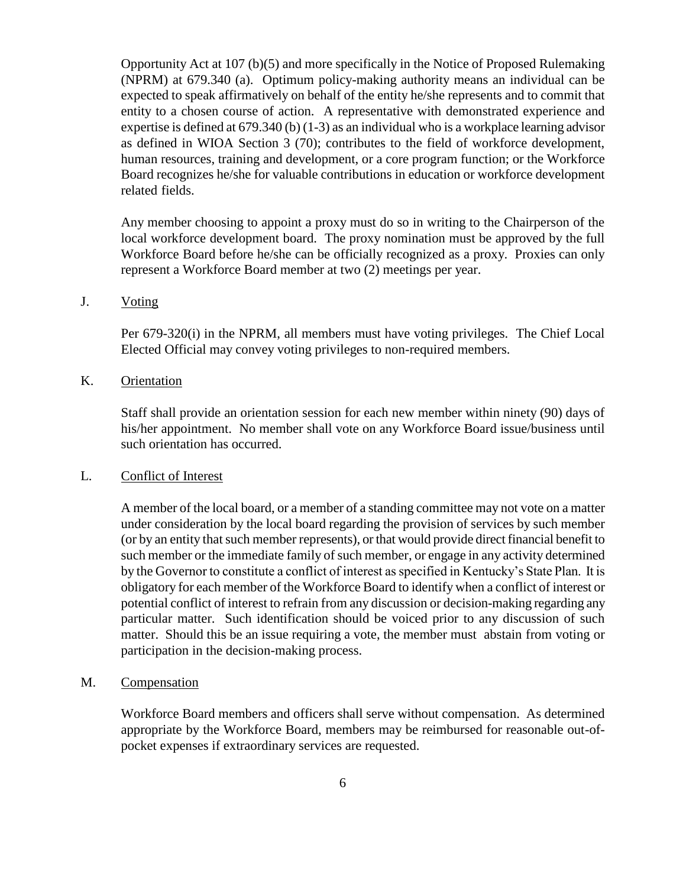Opportunity Act at 107 (b)(5) and more specifically in the Notice of Proposed Rulemaking (NPRM) at 679.340 (a). Optimum policy-making authority means an individual can be expected to speak affirmatively on behalf of the entity he/she represents and to commit that entity to a chosen course of action. A representative with demonstrated experience and expertise is defined at 679.340 (b) (1-3) as an individual who is a workplace learning advisor as defined in WIOA Section 3 (70); contributes to the field of workforce development, human resources, training and development, or a core program function; or the Workforce Board recognizes he/she for valuable contributions in education or workforce development related fields.

Any member choosing to appoint a proxy must do so in writing to the Chairperson of the local workforce development board. The proxy nomination must be approved by the full Workforce Board before he/she can be officially recognized as a proxy. Proxies can only represent a Workforce Board member at two (2) meetings per year.

## J. Voting

Per 679-320(i) in the NPRM, all members must have voting privileges. The Chief Local Elected Official may convey voting privileges to non-required members.

## K. Orientation

Staff shall provide an orientation session for each new member within ninety (90) days of his/her appointment. No member shall vote on any Workforce Board issue/business until such orientation has occurred.

#### L. Conflict of Interest

A member of the local board, or a member of a standing committee may not vote on a matter under consideration by the local board regarding the provision of services by such member (or by an entity that such member represents), or that would provide direct financial benefit to such member or the immediate family of such member, or engage in any activity determined by the Governor to constitute a conflict of interest as specified in Kentucky's State Plan. It is obligatory for each member of the Workforce Board to identify when a conflict of interest or potential conflict of interest to refrain from any discussion or decision-making regarding any particular matter. Such identification should be voiced prior to any discussion of such matter. Should this be an issue requiring a vote, the member must abstain from voting or participation in the decision-making process.

#### M. Compensation

Workforce Board members and officers shall serve without compensation. As determined appropriate by the Workforce Board, members may be reimbursed for reasonable out-ofpocket expenses if extraordinary services are requested.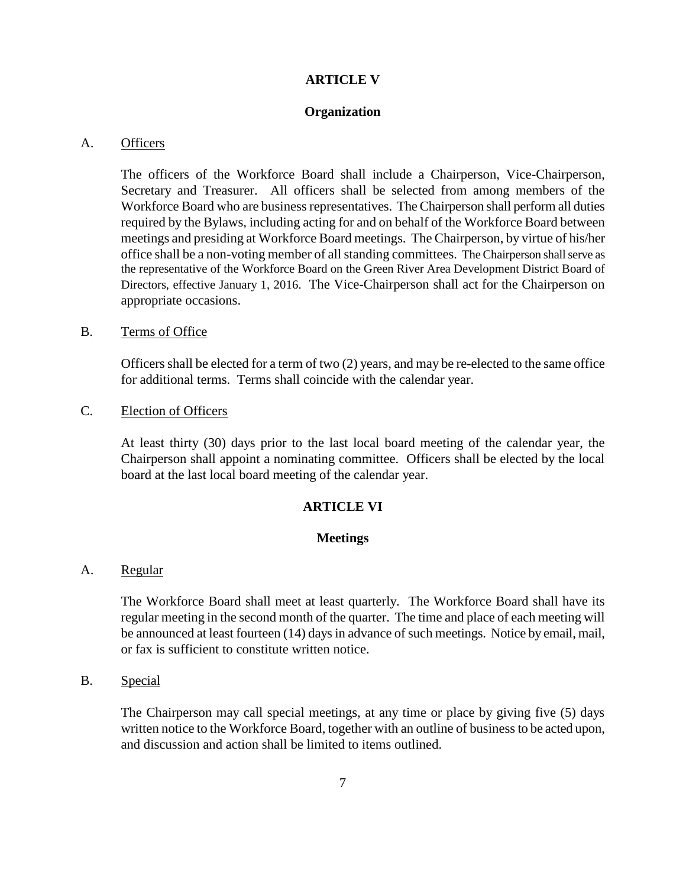## **ARTICLE V**

### **Organization**

## A. Officers

The officers of the Workforce Board shall include a Chairperson, Vice-Chairperson, Secretary and Treasurer. All officers shall be selected from among members of the Workforce Board who are business representatives. The Chairperson shall perform all duties required by the Bylaws, including acting for and on behalf of the Workforce Board between meetings and presiding at Workforce Board meetings. The Chairperson, by virtue of his/her office shall be a non-voting member of all standing committees. The Chairperson shall serve as the representative of the Workforce Board on the Green River Area Development District Board of Directors, effective January 1, 2016. The Vice-Chairperson shall act for the Chairperson on appropriate occasions.

### B. Terms of Office

Officers shall be elected for a term of two (2) years, and may be re-elected to the same office for additional terms. Terms shall coincide with the calendar year.

#### C. Election of Officers

At least thirty (30) days prior to the last local board meeting of the calendar year, the Chairperson shall appoint a nominating committee. Officers shall be elected by the local board at the last local board meeting of the calendar year.

## **ARTICLE VI**

### **Meetings**

## A. Regular

The Workforce Board shall meet at least quarterly. The Workforce Board shall have its regular meeting in the second month of the quarter. The time and place of each meeting will be announced at least fourteen (14) days in advance of such meetings. Notice by email, mail, or fax is sufficient to constitute written notice.

### B. Special

The Chairperson may call special meetings, at any time or place by giving five (5) days written notice to the Workforce Board, together with an outline of business to be acted upon, and discussion and action shall be limited to items outlined.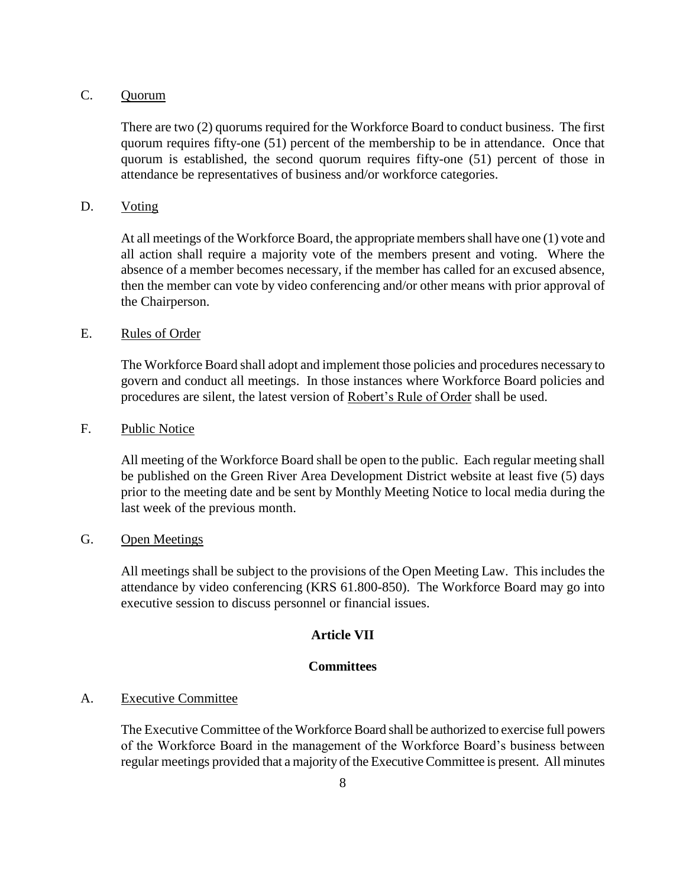# C. Quorum

There are two (2) quorums required for the Workforce Board to conduct business. The first quorum requires fifty-one (51) percent of the membership to be in attendance. Once that quorum is established, the second quorum requires fifty-one (51) percent of those in attendance be representatives of business and/or workforce categories.

## D. Voting

At all meetings of the Workforce Board, the appropriate members shall have one (1) vote and all action shall require a majority vote of the members present and voting. Where the absence of a member becomes necessary, if the member has called for an excused absence, then the member can vote by video conferencing and/or other means with prior approval of the Chairperson.

# E. Rules of Order

The Workforce Board shall adopt and implement those policies and procedures necessary to govern and conduct all meetings. In those instances where Workforce Board policies and procedures are silent, the latest version of Robert's Rule of Order shall be used.

# F. Public Notice

All meeting of the Workforce Board shall be open to the public. Each regular meeting shall be published on the Green River Area Development District website at least five (5) days prior to the meeting date and be sent by Monthly Meeting Notice to local media during the last week of the previous month.

## G. Open Meetings

All meetings shall be subject to the provisions of the Open Meeting Law. This includes the attendance by video conferencing (KRS 61.800-850). The Workforce Board may go into executive session to discuss personnel or financial issues.

## **Article VII**

## **Committees**

#### A. Executive Committee

The Executive Committee of the Workforce Board shall be authorized to exercise full powers of the Workforce Board in the management of the Workforce Board's business between regular meetings provided that a majority of the Executive Committee is present. All minutes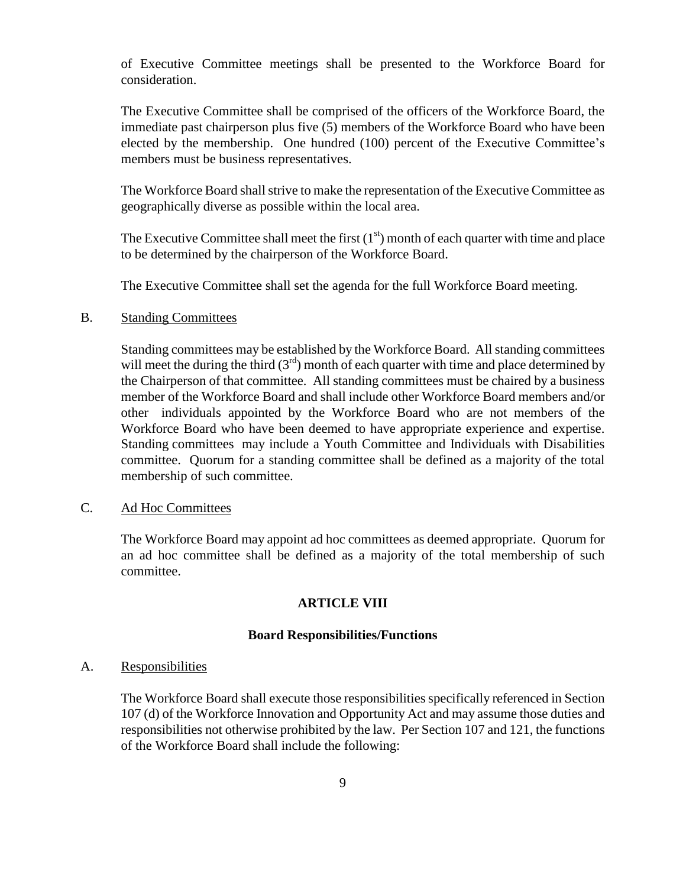of Executive Committee meetings shall be presented to the Workforce Board for consideration.

The Executive Committee shall be comprised of the officers of the Workforce Board, the immediate past chairperson plus five (5) members of the Workforce Board who have been elected by the membership. One hundred (100) percent of the Executive Committee's members must be business representatives.

The Workforce Board shall strive to make the representation of the Executive Committee as geographically diverse as possible within the local area.

The Executive Committee shall meet the first  $(1<sup>st</sup>)$  month of each quarter with time and place to be determined by the chairperson of the Workforce Board.

The Executive Committee shall set the agenda for the full Workforce Board meeting.

#### B. Standing Committees

Standing committees may be established by the Workforce Board. All standing committees will meet the during the third  $(3<sup>rd</sup>)$  month of each quarter with time and place determined by the Chairperson of that committee. All standing committees must be chaired by a business member of the Workforce Board and shall include other Workforce Board members and/or other individuals appointed by the Workforce Board who are not members of the Workforce Board who have been deemed to have appropriate experience and expertise. Standing committees may include a Youth Committee and Individuals with Disabilities committee. Quorum for a standing committee shall be defined as a majority of the total membership of such committee.

## C. Ad Hoc Committees

The Workforce Board may appoint ad hoc committees as deemed appropriate. Quorum for an ad hoc committee shall be defined as a majority of the total membership of such committee.

## **ARTICLE VIII**

## **Board Responsibilities/Functions**

### A. Responsibilities

The Workforce Board shall execute those responsibilities specifically referenced in Section 107 (d) of the Workforce Innovation and Opportunity Act and may assume those duties and responsibilities not otherwise prohibited by the law. Per Section 107 and 121, the functions of the Workforce Board shall include the following: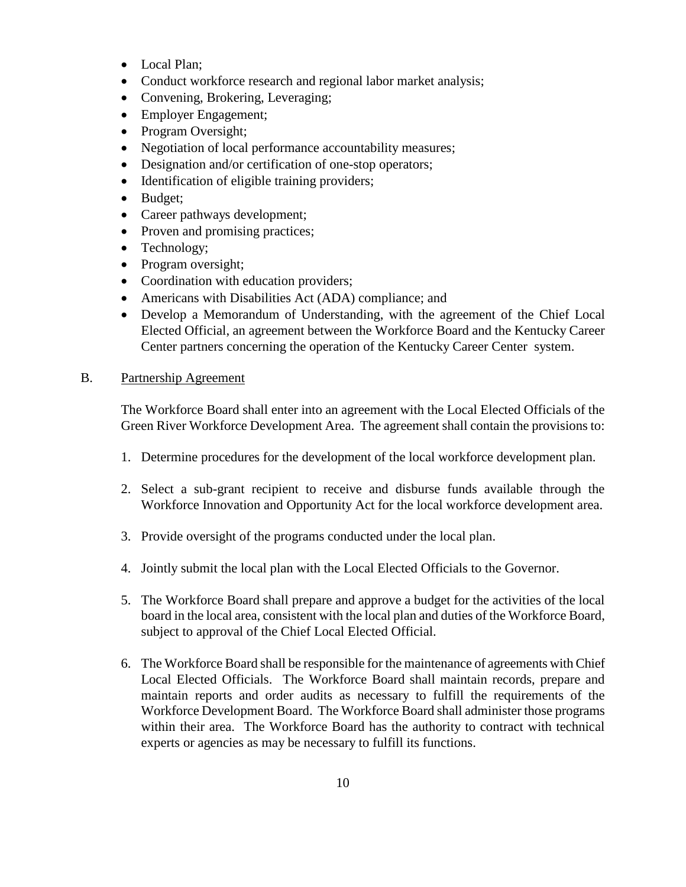- Local Plan:
- Conduct workforce research and regional labor market analysis;
- Convening, Brokering, Leveraging;
- Employer Engagement;
- Program Oversight;
- Negotiation of local performance accountability measures;
- Designation and/or certification of one-stop operators;
- Identification of eligible training providers;
- Budget;
- Career pathways development;
- Proven and promising practices;
- Technology;
- Program oversight;
- Coordination with education providers;
- Americans with Disabilities Act (ADA) compliance; and
- Develop a Memorandum of Understanding, with the agreement of the Chief Local Elected Official, an agreement between the Workforce Board and the Kentucky Career Center partners concerning the operation of the Kentucky Career Center system.

# B. Partnership Agreement

The Workforce Board shall enter into an agreement with the Local Elected Officials of the Green River Workforce Development Area. The agreement shall contain the provisions to:

- 1. Determine procedures for the development of the local workforce development plan.
- 2. Select a sub-grant recipient to receive and disburse funds available through the Workforce Innovation and Opportunity Act for the local workforce development area.
- 3. Provide oversight of the programs conducted under the local plan.
- 4. Jointly submit the local plan with the Local Elected Officials to the Governor.
- 5. The Workforce Board shall prepare and approve a budget for the activities of the local board in the local area, consistent with the local plan and duties of the Workforce Board, subject to approval of the Chief Local Elected Official.
- 6. The Workforce Board shall be responsible for the maintenance of agreements with Chief Local Elected Officials. The Workforce Board shall maintain records, prepare and maintain reports and order audits as necessary to fulfill the requirements of the Workforce Development Board. The Workforce Board shall administer those programs within their area. The Workforce Board has the authority to contract with technical experts or agencies as may be necessary to fulfill its functions.